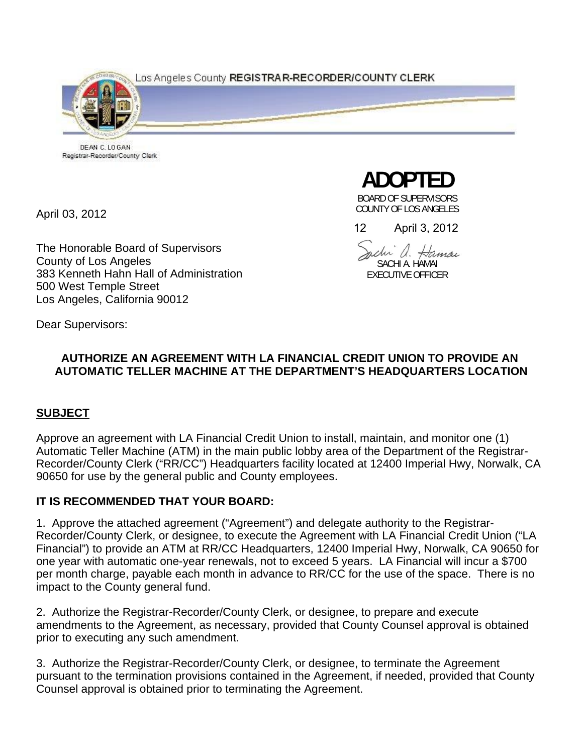Los Angeles County REGISTRAR-RECORDER/COUNTY CLERK



DEAN C. LOGAN Registrar-Recorder/County Clerk

April 03, 2012

The Honorable Board of Supervisors County of Los Angeles 383 Kenneth Hahn Hall of Administration 500 West Temple Street Los Angeles, California 90012

**ADOPTED** 

BOARD OF SUPERVISORS COUNTY OF LOS ANGELES

12 April 3, 2012

mchi a. Hamai SACHI A. HAMAI EXECUTIVE OFFICER

Dear Supervisors:

# **AUTHORIZE AN AGREEMENT WITH LA FINANCIAL CREDIT UNION TO PROVIDE AN AUTOMATIC TELLER MACHINE AT THE DEPARTMENT'S HEADQUARTERS LOCATION**

# **SUBJECT**

Approve an agreement with LA Financial Credit Union to install, maintain, and monitor one (1) Automatic Teller Machine (ATM) in the main public lobby area of the Department of the Registrar-Recorder/County Clerk ("RR/CC") Headquarters facility located at 12400 Imperial Hwy, Norwalk, CA 90650 for use by the general public and County employees.

# **IT IS RECOMMENDED THAT YOUR BOARD:**

1. Approve the attached agreement ("Agreement") and delegate authority to the Registrar-Recorder/County Clerk, or designee, to execute the Agreement with LA Financial Credit Union ("LA Financial") to provide an ATM at RR/CC Headquarters, 12400 Imperial Hwy, Norwalk, CA 90650 for one year with automatic one-year renewals, not to exceed 5 years. LA Financial will incur a \$700 per month charge, payable each month in advance to RR/CC for the use of the space. There is no impact to the County general fund.

2. Authorize the Registrar-Recorder/County Clerk, or designee, to prepare and execute amendments to the Agreement, as necessary, provided that County Counsel approval is obtained prior to executing any such amendment.

3. Authorize the Registrar-Recorder/County Clerk, or designee, to terminate the Agreement pursuant to the termination provisions contained in the Agreement, if needed, provided that County Counsel approval is obtained prior to terminating the Agreement.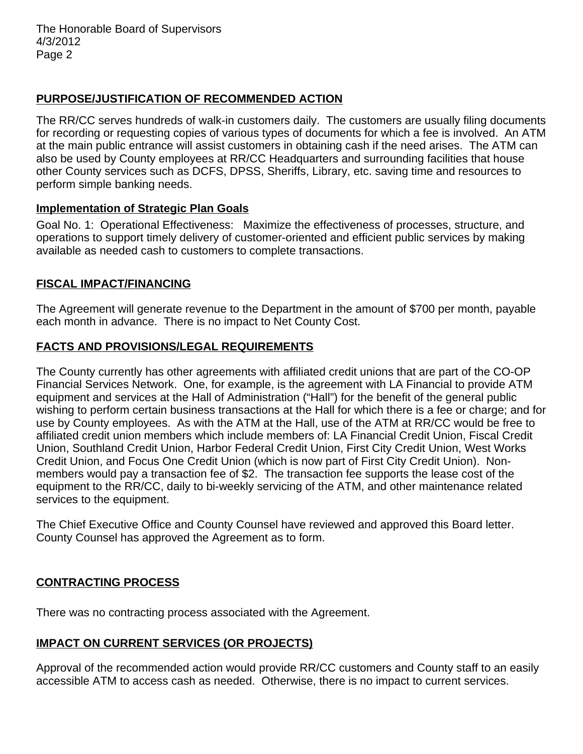The Honorable Board of Supervisors 4/3/2012 Page 2

## **PURPOSE/JUSTIFICATION OF RECOMMENDED ACTION**

The RR/CC serves hundreds of walk-in customers daily. The customers are usually filing documents for recording or requesting copies of various types of documents for which a fee is involved. An ATM at the main public entrance will assist customers in obtaining cash if the need arises. The ATM can also be used by County employees at RR/CC Headquarters and surrounding facilities that house other County services such as DCFS, DPSS, Sheriffs, Library, etc. saving time and resources to perform simple banking needs.

#### **Implementation of Strategic Plan Goals**

Goal No. 1: Operational Effectiveness: Maximize the effectiveness of processes, structure, and operations to support timely delivery of customer-oriented and efficient public services by making available as needed cash to customers to complete transactions.

### **FISCAL IMPACT/FINANCING**

The Agreement will generate revenue to the Department in the amount of \$700 per month, payable each month in advance. There is no impact to Net County Cost.

#### **FACTS AND PROVISIONS/LEGAL REQUIREMENTS**

The County currently has other agreements with affiliated credit unions that are part of the CO-OP Financial Services Network. One, for example, is the agreement with LA Financial to provide ATM equipment and services at the Hall of Administration ("Hall") for the benefit of the general public wishing to perform certain business transactions at the Hall for which there is a fee or charge; and for use by County employees. As with the ATM at the Hall, use of the ATM at RR/CC would be free to affiliated credit union members which include members of: LA Financial Credit Union, Fiscal Credit Union, Southland Credit Union, Harbor Federal Credit Union, First City Credit Union, West Works Credit Union, and Focus One Credit Union (which is now part of First City Credit Union). Nonmembers would pay a transaction fee of \$2. The transaction fee supports the lease cost of the equipment to the RR/CC, daily to bi-weekly servicing of the ATM, and other maintenance related services to the equipment.

The Chief Executive Office and County Counsel have reviewed and approved this Board letter. County Counsel has approved the Agreement as to form.

### **CONTRACTING PROCESS**

There was no contracting process associated with the Agreement.

### **IMPACT ON CURRENT SERVICES (OR PROJECTS)**

Approval of the recommended action would provide RR/CC customers and County staff to an easily accessible ATM to access cash as needed. Otherwise, there is no impact to current services.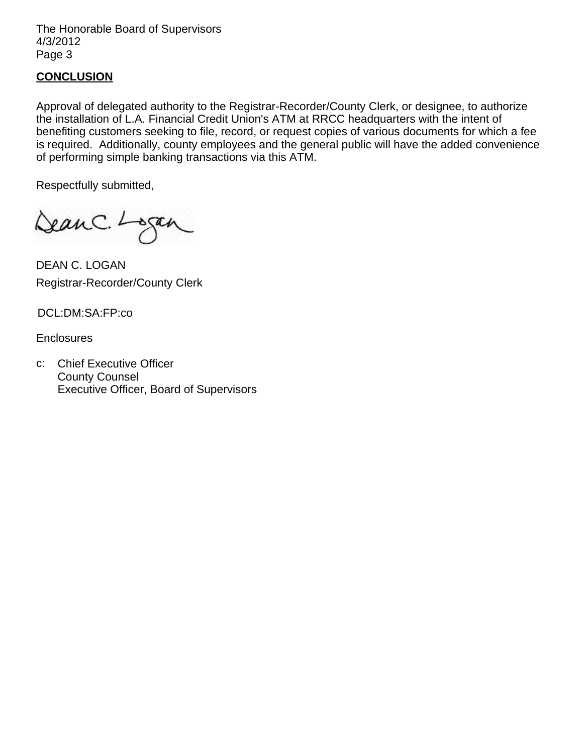The Honorable Board of Supervisors 4/3/2012 Page 3

#### **CONCLUSION**

Approval of delegated authority to the Registrar-Recorder/County Clerk, or designee, to authorize the installation of L.A. Financial Credit Union's ATM at RRCC headquarters with the intent of benefiting customers seeking to file, record, or request copies of various documents for which a fee is required. Additionally, county employees and the general public will have the added convenience of performing simple banking transactions via this ATM.

Respectfully submitted,

DeanC. Logan

DEAN C. LOGAN Registrar-Recorder/County Clerk

DCL:DM:SA:FP:co

**Enclosures** 

c: Chief Executive Officer County Counsel Executive Officer, Board of Supervisors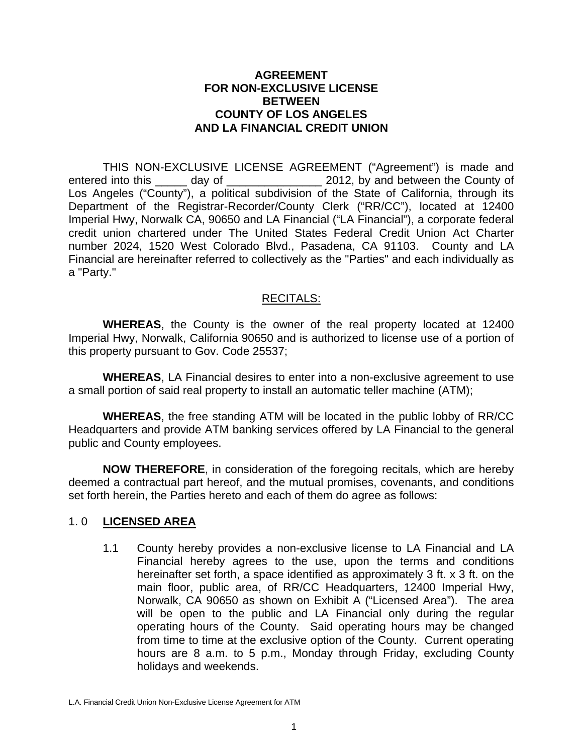#### **AGREEMENT FOR NON-EXCLUSIVE LICENSE BETWEEN COUNTY OF LOS ANGELES AND LA FINANCIAL CREDIT UNION**

 THIS NON-EXCLUSIVE LICENSE AGREEMENT ("Agreement") is made and entered into this \_\_\_\_\_ day of \_\_\_\_\_\_\_\_\_\_\_\_\_\_\_ 2012, by and between the County of Los Angeles ("County"), a political subdivision of the State of California, through its Department of the Registrar-Recorder/County Clerk ("RR/CC"), located at 12400 Imperial Hwy, Norwalk CA, 90650 and LA Financial ("LA Financial"), a corporate federal credit union chartered under The United States Federal Credit Union Act Charter number 2024, 1520 West Colorado Blvd., Pasadena, CA 91103. County and LA Financial are hereinafter referred to collectively as the "Parties" and each individually as a "Party."

### RECITALS:

**WHEREAS**, the County is the owner of the real property located at 12400 Imperial Hwy, Norwalk, California 90650 and is authorized to license use of a portion of this property pursuant to Gov. Code 25537;

**WHEREAS**, LA Financial desires to enter into a non-exclusive agreement to use a small portion of said real property to install an automatic teller machine (ATM);

**WHEREAS**, the free standing ATM will be located in the public lobby of RR/CC Headquarters and provide ATM banking services offered by LA Financial to the general public and County employees.

**NOW THEREFORE**, in consideration of the foregoing recitals, which are hereby deemed a contractual part hereof, and the mutual promises, covenants, and conditions set forth herein, the Parties hereto and each of them do agree as follows:

### 1. 0 **LICENSED AREA**

1.1 County hereby provides a non-exclusive license to LA Financial and LA Financial hereby agrees to the use, upon the terms and conditions hereinafter set forth, a space identified as approximately 3 ft. x 3 ft. on the main floor, public area, of RR/CC Headquarters, 12400 Imperial Hwy, Norwalk, CA 90650 as shown on Exhibit A ("Licensed Area"). The area will be open to the public and LA Financial only during the regular operating hours of the County. Said operating hours may be changed from time to time at the exclusive option of the County. Current operating hours are 8 a.m. to 5 p.m., Monday through Friday, excluding County holidays and weekends.

L.A. Financial Credit Union Non-Exclusive License Agreement for ATM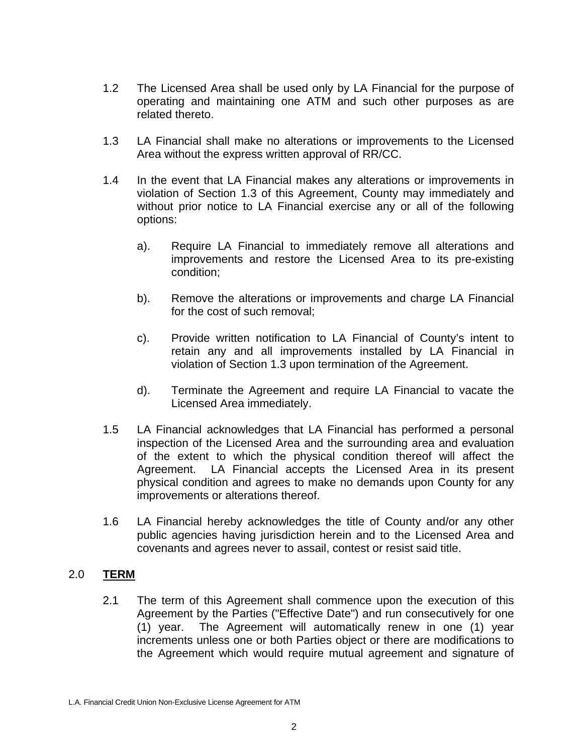- 1.2 The Licensed Area shall be used only by LA Financial for the purpose of operating and maintaining one ATM and such other purposes as are related thereto.
- 1.3 LA Financial shall make no alterations or improvements to the Licensed Area without the express written approval of RR/CC.
- 1.4 In the event that LA Financial makes any alterations or improvements in violation of Section 1.3 of this Agreement, County may immediately and without prior notice to LA Financial exercise any or all of the following options:
	- a). Require LA Financial to immediately remove all alterations and improvements and restore the Licensed Area to its pre-existing condition;
	- b). Remove the alterations or improvements and charge LA Financial for the cost of such removal;
	- c). Provide written notification to LA Financial of County's intent to retain any and all improvements installed by LA Financial in violation of Section 1.3 upon termination of the Agreement.
	- d). Terminate the Agreement and require LA Financial to vacate the Licensed Area immediately.
- 1.5 LA Financial acknowledges that LA Financial has performed a personal inspection of the Licensed Area and the surrounding area and evaluation of the extent to which the physical condition thereof will affect the Agreement. LA Financial accepts the Licensed Area in its present physical condition and agrees to make no demands upon County for any improvements or alterations thereof.
- 1.6 LA Financial hereby acknowledges the title of County and/or any other public agencies having jurisdiction herein and to the Licensed Area and covenants and agrees never to assail, contest or resist said title.

### 2.0 **TERM**

2.1 The term of this Agreement shall commence upon the execution of this Agreement by the Parties ("Effective Date") and run consecutively for one (1) year. The Agreement will automatically renew in one (1) year increments unless one or both Parties object or there are modifications to the Agreement which would require mutual agreement and signature of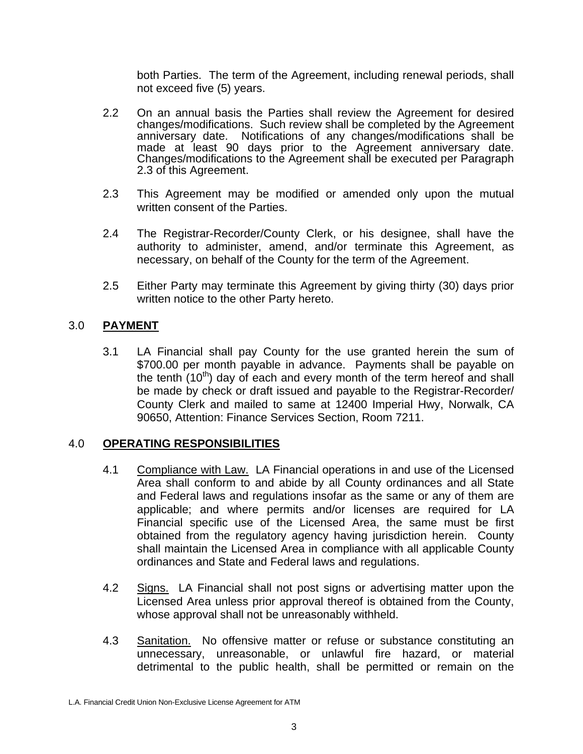both Parties. The term of the Agreement, including renewal periods, shall not exceed five (5) years.

- 2.2 On an annual basis the Parties shall review the Agreement for desired changes/modifications. Such review shall be completed by the Agreement anniversary date. Notifications of any changes/modifications shall be made at least 90 days prior to the Agreement anniversary date. Changes/modifications to the Agreement shall be executed per Paragraph 2.3 of this Agreement.
- 2.3 This Agreement may be modified or amended only upon the mutual written consent of the Parties.
- 2.4 The Registrar-Recorder/County Clerk, or his designee, shall have the authority to administer, amend, and/or terminate this Agreement, as necessary, on behalf of the County for the term of the Agreement.
- 2.5 Either Party may terminate this Agreement by giving thirty (30) days prior written notice to the other Party hereto.

## 3.0 **PAYMENT**

3.1 LA Financial shall pay County for the use granted herein the sum of \$700.00 per month payable in advance. Payments shall be payable on the tenth  $(10<sup>th</sup>)$  day of each and every month of the term hereof and shall be made by check or draft issued and payable to the Registrar-Recorder/ County Clerk and mailed to same at 12400 Imperial Hwy, Norwalk, CA 90650, Attention: Finance Services Section, Room 7211.

### 4.0 **OPERATING RESPONSIBILITIES**

- 4.1 Compliance with Law. LA Financial operations in and use of the Licensed Area shall conform to and abide by all County ordinances and all State and Federal laws and regulations insofar as the same or any of them are applicable; and where permits and/or licenses are required for LA Financial specific use of the Licensed Area, the same must be first obtained from the regulatory agency having jurisdiction herein. County shall maintain the Licensed Area in compliance with all applicable County ordinances and State and Federal laws and regulations.
- 4.2 Signs. LA Financial shall not post signs or advertising matter upon the Licensed Area unless prior approval thereof is obtained from the County, whose approval shall not be unreasonably withheld.
- 4.3 Sanitation. No offensive matter or refuse or substance constituting an unnecessary, unreasonable, or unlawful fire hazard, or material detrimental to the public health, shall be permitted or remain on the

L.A. Financial Credit Union Non-Exclusive License Agreement for ATM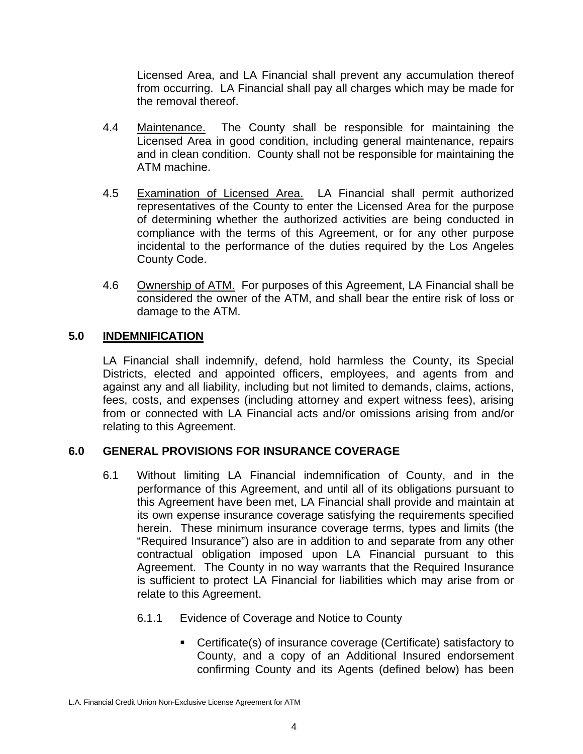Licensed Area, and LA Financial shall prevent any accumulation thereof from occurring. LA Financial shall pay all charges which may be made for the removal thereof.

- 4.4 Maintenance. The County shall be responsible for maintaining the Licensed Area in good condition, including general maintenance, repairs and in clean condition. County shall not be responsible for maintaining the ATM machine.
- 4.5 Examination of Licensed Area. LA Financial shall permit authorized representatives of the County to enter the Licensed Area for the purpose of determining whether the authorized activities are being conducted in compliance with the terms of this Agreement, or for any other purpose incidental to the performance of the duties required by the Los Angeles County Code.
- 4.6 Ownership of ATM. For purposes of this Agreement, LA Financial shall be considered the owner of the ATM, and shall bear the entire risk of loss or damage to the ATM.

# **5.0 INDEMNIFICATION**

LA Financial shall indemnify, defend, hold harmless the County, its Special Districts, elected and appointed officers, employees, and agents from and against any and all liability, including but not limited to demands, claims, actions, fees, costs, and expenses (including attorney and expert witness fees), arising from or connected with LA Financial acts and/or omissions arising from and/or relating to this Agreement.

# **6.0 GENERAL PROVISIONS FOR INSURANCE COVERAGE**

- 6.1 Without limiting LA Financial indemnification of County, and in the performance of this Agreement, and until all of its obligations pursuant to this Agreement have been met, LA Financial shall provide and maintain at its own expense insurance coverage satisfying the requirements specified herein. These minimum insurance coverage terms, types and limits (the "Required Insurance") also are in addition to and separate from any other contractual obligation imposed upon LA Financial pursuant to this Agreement. The County in no way warrants that the Required Insurance is sufficient to protect LA Financial for liabilities which may arise from or relate to this Agreement.
	- 6.1.1 Evidence of Coverage and Notice to County
		- Certificate(s) of insurance coverage (Certificate) satisfactory to County, and a copy of an Additional Insured endorsement confirming County and its Agents (defined below) has been

L.A. Financial Credit Union Non-Exclusive License Agreement for ATM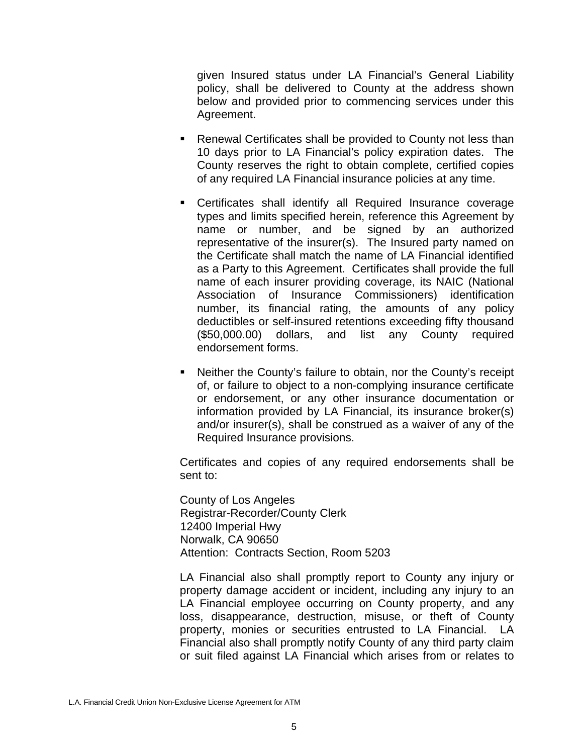given Insured status under LA Financial's General Liability policy, shall be delivered to County at the address shown below and provided prior to commencing services under this Agreement.

- Renewal Certificates shall be provided to County not less than 10 days prior to LA Financial's policy expiration dates. The County reserves the right to obtain complete, certified copies of any required LA Financial insurance policies at any time.
- Certificates shall identify all Required Insurance coverage types and limits specified herein, reference this Agreement by name or number, and be signed by an authorized representative of the insurer(s). The Insured party named on the Certificate shall match the name of LA Financial identified as a Party to this Agreement. Certificates shall provide the full name of each insurer providing coverage, its NAIC (National Association of Insurance Commissioners) identification number, its financial rating, the amounts of any policy deductibles or self-insured retentions exceeding fifty thousand (\$50,000.00) dollars, and list any County required endorsement forms.
- Neither the County's failure to obtain, nor the County's receipt of, or failure to object to a non-complying insurance certificate or endorsement, or any other insurance documentation or information provided by LA Financial, its insurance broker(s) and/or insurer(s), shall be construed as a waiver of any of the Required Insurance provisions.

Certificates and copies of any required endorsements shall be sent to:

County of Los Angeles Registrar-Recorder/County Clerk 12400 Imperial Hwy Norwalk, CA 90650 Attention: Contracts Section, Room 5203

LA Financial also shall promptly report to County any injury or property damage accident or incident, including any injury to an LA Financial employee occurring on County property, and any loss, disappearance, destruction, misuse, or theft of County property, monies or securities entrusted to LA Financial. LA Financial also shall promptly notify County of any third party claim or suit filed against LA Financial which arises from or relates to

L.A. Financial Credit Union Non-Exclusive License Agreement for ATM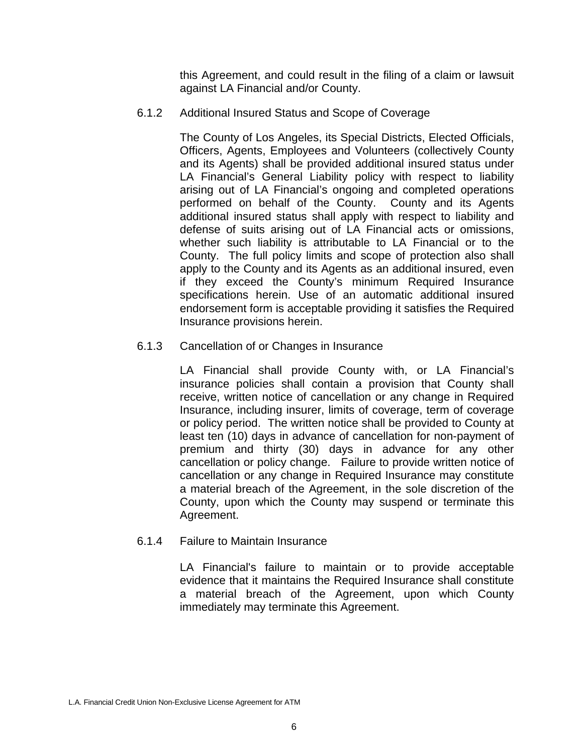this Agreement, and could result in the filing of a claim or lawsuit against LA Financial and/or County.

6.1.2 Additional Insured Status and Scope of Coverage

 The County of Los Angeles, its Special Districts, Elected Officials, Officers, Agents, Employees and Volunteers (collectively County and its Agents) shall be provided additional insured status under LA Financial's General Liability policy with respect to liability arising out of LA Financial's ongoing and completed operations performed on behalf of the County. County and its Agents additional insured status shall apply with respect to liability and defense of suits arising out of LA Financial acts or omissions, whether such liability is attributable to LA Financial or to the County. The full policy limits and scope of protection also shall apply to the County and its Agents as an additional insured, even if they exceed the County's minimum Required Insurance specifications herein. Use of an automatic additional insured endorsement form is acceptable providing it satisfies the Required Insurance provisions herein.

6.1.3 Cancellation of or Changes in Insurance

LA Financial shall provide County with, or LA Financial's insurance policies shall contain a provision that County shall receive, written notice of cancellation or any change in Required Insurance, including insurer, limits of coverage, term of coverage or policy period. The written notice shall be provided to County at least ten (10) days in advance of cancellation for non-payment of premium and thirty (30) days in advance for any other cancellation or policy change. Failure to provide written notice of cancellation or any change in Required Insurance may constitute a material breach of the Agreement, in the sole discretion of the County, upon which the County may suspend or terminate this Agreement.

6.1.4 Failure to Maintain Insurance

LA Financial's failure to maintain or to provide acceptable evidence that it maintains the Required Insurance shall constitute a material breach of the Agreement, upon which County immediately may terminate this Agreement.

L.A. Financial Credit Union Non-Exclusive License Agreement for ATM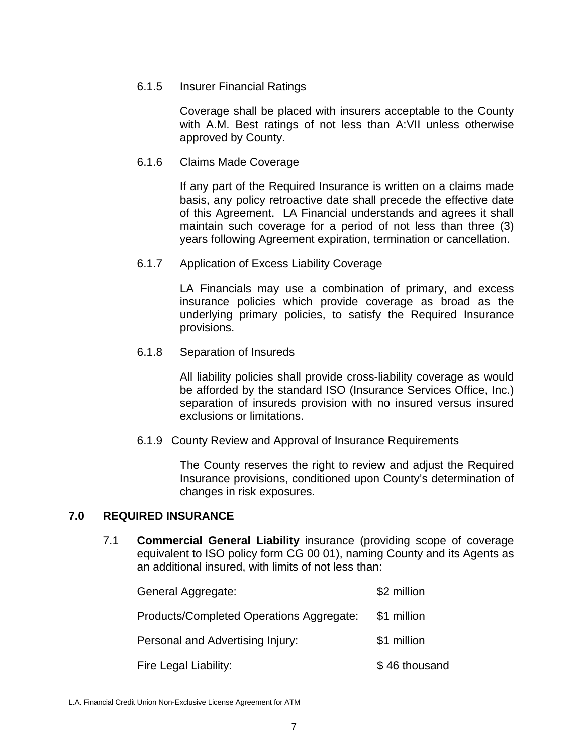#### 6.1.5 Insurer Financial Ratings

Coverage shall be placed with insurers acceptable to the County with A.M. Best ratings of not less than A:VII unless otherwise approved by County.

#### 6.1.6 Claims Made Coverage

If any part of the Required Insurance is written on a claims made basis, any policy retroactive date shall precede the effective date of this Agreement. LA Financial understands and agrees it shall maintain such coverage for a period of not less than three (3) years following Agreement expiration, termination or cancellation.

#### 6.1.7 Application of Excess Liability Coverage

 LA Financials may use a combination of primary, and excess insurance policies which provide coverage as broad as the underlying primary policies, to satisfy the Required Insurance provisions.

#### 6.1.8 Separation of Insureds

All liability policies shall provide cross-liability coverage as would be afforded by the standard ISO (Insurance Services Office, Inc.) separation of insureds provision with no insured versus insured exclusions or limitations.

#### 6.1.9 County Review and Approval of Insurance Requirements

The County reserves the right to review and adjust the Required Insurance provisions, conditioned upon County's determination of changes in risk exposures.

### **7.0 REQUIRED INSURANCE**

7.1 **Commercial General Liability** insurance (providing scope of coverage equivalent to ISO policy form CG 00 01), naming County and its Agents as an additional insured, with limits of not less than:

| General Aggregate:                       | \$2 million   |
|------------------------------------------|---------------|
| Products/Completed Operations Aggregate: | \$1 million   |
| Personal and Advertising Injury:         | \$1 million   |
| Fire Legal Liability:                    | \$46 thousand |

L.A. Financial Credit Union Non-Exclusive License Agreement for ATM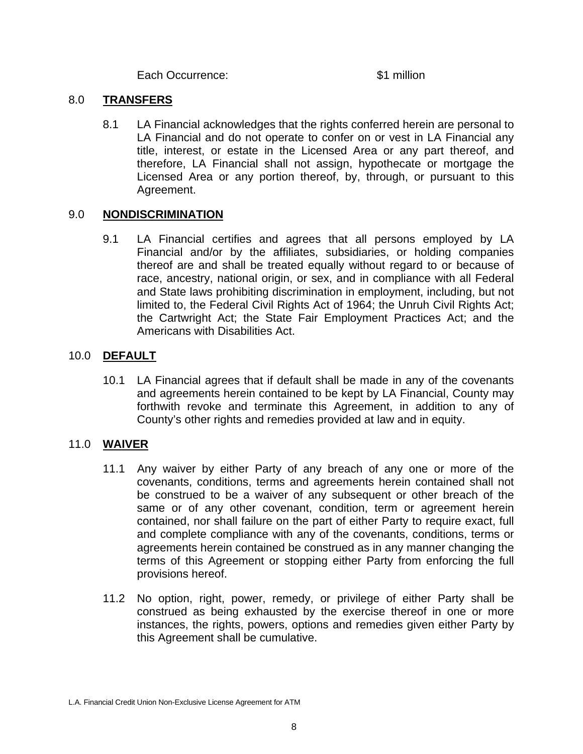Each Occurrence:  $\sim$  \$1 million

#### 8.0 **TRANSFERS**

 8.1 LA Financial acknowledges that the rights conferred herein are personal to LA Financial and do not operate to confer on or vest in LA Financial any title, interest, or estate in the Licensed Area or any part thereof, and therefore, LA Financial shall not assign, hypothecate or mortgage the Licensed Area or any portion thereof, by, through, or pursuant to this Agreement.

### 9.0 **NONDISCRIMINATION**

 9.1 LA Financial certifies and agrees that all persons employed by LA Financial and/or by the affiliates, subsidiaries, or holding companies thereof are and shall be treated equally without regard to or because of race, ancestry, national origin, or sex, and in compliance with all Federal and State laws prohibiting discrimination in employment, including, but not limited to, the Federal Civil Rights Act of 1964; the Unruh Civil Rights Act; the Cartwright Act; the State Fair Employment Practices Act; and the Americans with Disabilities Act.

## 10.0 **DEFAULT**

 10.1 LA Financial agrees that if default shall be made in any of the covenants and agreements herein contained to be kept by LA Financial, County may forthwith revoke and terminate this Agreement, in addition to any of County's other rights and remedies provided at law and in equity.

### 11.0 **WAIVER**

- 11.1 Any waiver by either Party of any breach of any one or more of the covenants, conditions, terms and agreements herein contained shall not be construed to be a waiver of any subsequent or other breach of the same or of any other covenant, condition, term or agreement herein contained, nor shall failure on the part of either Party to require exact, full and complete compliance with any of the covenants, conditions, terms or agreements herein contained be construed as in any manner changing the terms of this Agreement or stopping either Party from enforcing the full provisions hereof.
- 11.2 No option, right, power, remedy, or privilege of either Party shall be construed as being exhausted by the exercise thereof in one or more instances, the rights, powers, options and remedies given either Party by this Agreement shall be cumulative.

L.A. Financial Credit Union Non-Exclusive License Agreement for ATM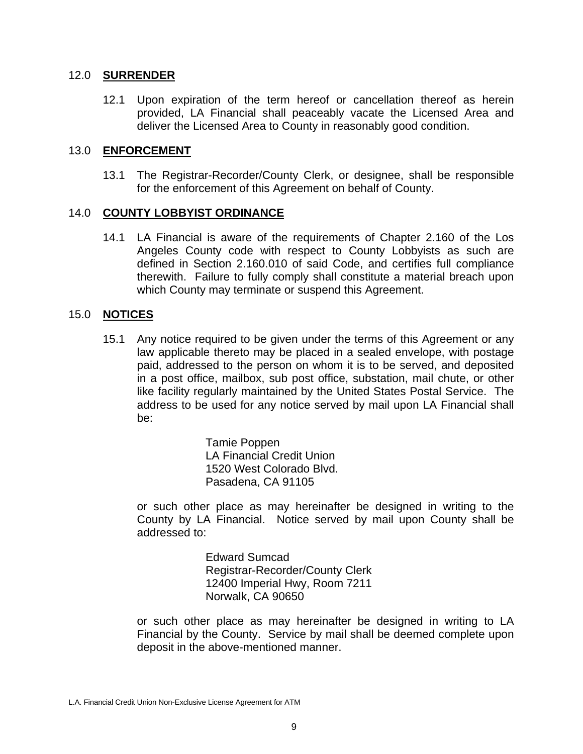#### 12.0 **SURRENDER**

 12.1 Upon expiration of the term hereof or cancellation thereof as herein provided, LA Financial shall peaceably vacate the Licensed Area and deliver the Licensed Area to County in reasonably good condition.

### 13.0 **ENFORCEMENT**

 13.1 The Registrar-Recorder/County Clerk, or designee, shall be responsible for the enforcement of this Agreement on behalf of County.

#### 14.0 **COUNTY LOBBYIST ORDINANCE**

 14.1 LA Financial is aware of the requirements of Chapter 2.160 of the Los Angeles County code with respect to County Lobbyists as such are defined in Section 2.160.010 of said Code, and certifies full compliance therewith. Failure to fully comply shall constitute a material breach upon which County may terminate or suspend this Agreement.

#### 15.0 **NOTICES**

 15.1 Any notice required to be given under the terms of this Agreement or any law applicable thereto may be placed in a sealed envelope, with postage paid, addressed to the person on whom it is to be served, and deposited in a post office, mailbox, sub post office, substation, mail chute, or other like facility regularly maintained by the United States Postal Service. The address to be used for any notice served by mail upon LA Financial shall be:

> Tamie Poppen LA Financial Credit Union 1520 West Colorado Blvd. Pasadena, CA 91105

 or such other place as may hereinafter be designed in writing to the County by LA Financial. Notice served by mail upon County shall be addressed to:

> Edward Sumcad Registrar-Recorder/County Clerk 12400 Imperial Hwy, Room 7211 Norwalk, CA 90650

 or such other place as may hereinafter be designed in writing to LA Financial by the County. Service by mail shall be deemed complete upon deposit in the above-mentioned manner.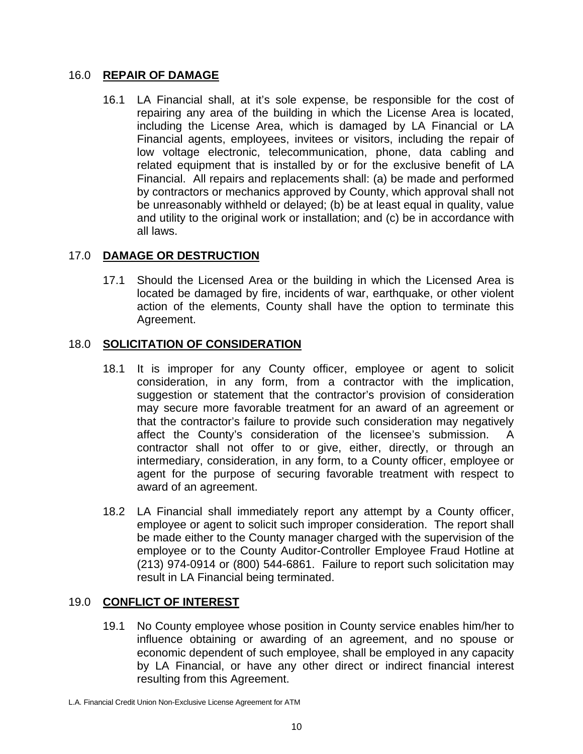### 16.0 **REPAIR OF DAMAGE**

 16.1 LA Financial shall, at it's sole expense, be responsible for the cost of repairing any area of the building in which the License Area is located, including the License Area, which is damaged by LA Financial or LA Financial agents, employees, invitees or visitors, including the repair of low voltage electronic, telecommunication, phone, data cabling and related equipment that is installed by or for the exclusive benefit of LA Financial. All repairs and replacements shall: (a) be made and performed by contractors or mechanics approved by County, which approval shall not be unreasonably withheld or delayed; (b) be at least equal in quality, value and utility to the original work or installation; and (c) be in accordance with all laws.

## 17.0 **DAMAGE OR DESTRUCTION**

 17.1 Should the Licensed Area or the building in which the Licensed Area is located be damaged by fire, incidents of war, earthquake, or other violent action of the elements, County shall have the option to terminate this Agreement.

### 18.0 **SOLICITATION OF CONSIDERATION**

- 18.1 It is improper for any County officer, employee or agent to solicit consideration, in any form, from a contractor with the implication, suggestion or statement that the contractor's provision of consideration may secure more favorable treatment for an award of an agreement or that the contractor's failure to provide such consideration may negatively affect the County's consideration of the licensee's submission. contractor shall not offer to or give, either, directly, or through an intermediary, consideration, in any form, to a County officer, employee or agent for the purpose of securing favorable treatment with respect to award of an agreement.
- 18.2 LA Financial shall immediately report any attempt by a County officer, employee or agent to solicit such improper consideration. The report shall be made either to the County manager charged with the supervision of the employee or to the County Auditor-Controller Employee Fraud Hotline at (213) 974-0914 or (800) 544-6861. Failure to report such solicitation may result in LA Financial being terminated.

# 19.0 **CONFLICT OF INTEREST**

 19.1 No County employee whose position in County service enables him/her to influence obtaining or awarding of an agreement, and no spouse or economic dependent of such employee, shall be employed in any capacity by LA Financial, or have any other direct or indirect financial interest resulting from this Agreement.

L.A. Financial Credit Union Non-Exclusive License Agreement for ATM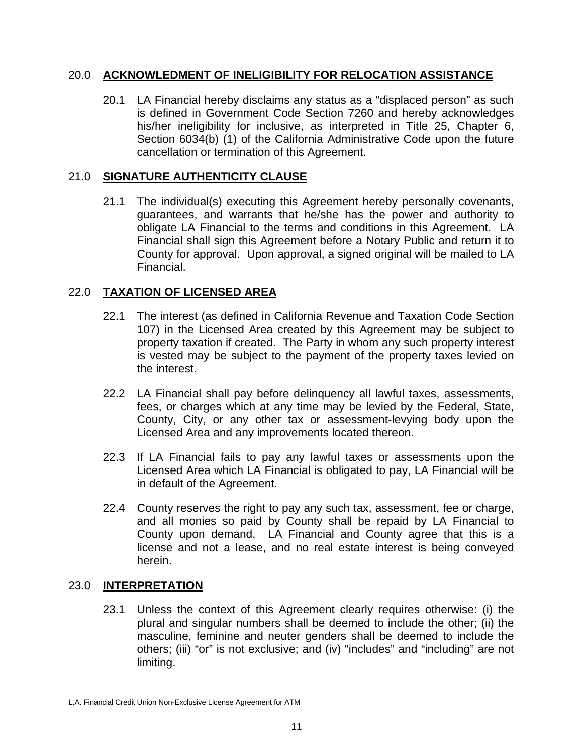### 20.0 **ACKNOWLEDMENT OF INELIGIBILITY FOR RELOCATION ASSISTANCE**

 20.1 LA Financial hereby disclaims any status as a "displaced person" as such is defined in Government Code Section 7260 and hereby acknowledges his/her ineligibility for inclusive, as interpreted in Title 25, Chapter 6, Section 6034(b) (1) of the California Administrative Code upon the future cancellation or termination of this Agreement.

# 21.0 **SIGNATURE AUTHENTICITY CLAUSE**

 21.1 The individual(s) executing this Agreement hereby personally covenants, guarantees, and warrants that he/she has the power and authority to obligate LA Financial to the terms and conditions in this Agreement. LA Financial shall sign this Agreement before a Notary Public and return it to County for approval. Upon approval, a signed original will be mailed to LA Financial.

## 22.0 **TAXATION OF LICENSED AREA**

- 22.1 The interest (as defined in California Revenue and Taxation Code Section 107) in the Licensed Area created by this Agreement may be subject to property taxation if created. The Party in whom any such property interest is vested may be subject to the payment of the property taxes levied on the interest.
- 22.2 LA Financial shall pay before delinquency all lawful taxes, assessments, fees, or charges which at any time may be levied by the Federal, State, County, City, or any other tax or assessment-levying body upon the Licensed Area and any improvements located thereon.
- 22.3 If LA Financial fails to pay any lawful taxes or assessments upon the Licensed Area which LA Financial is obligated to pay, LA Financial will be in default of the Agreement.
- 22.4 County reserves the right to pay any such tax, assessment, fee or charge, and all monies so paid by County shall be repaid by LA Financial to County upon demand. LA Financial and County agree that this is a license and not a lease, and no real estate interest is being conveyed herein.

### 23.0 **INTERPRETATION**

 23.1 Unless the context of this Agreement clearly requires otherwise: (i) the plural and singular numbers shall be deemed to include the other; (ii) the masculine, feminine and neuter genders shall be deemed to include the others; (iii) "or" is not exclusive; and (iv) "includes" and "including" are not limiting.

L.A. Financial Credit Union Non-Exclusive License Agreement for ATM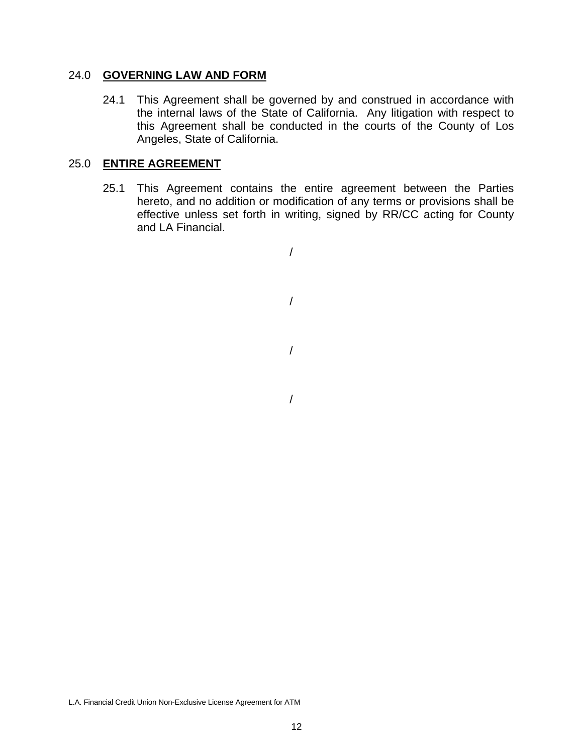#### 24.0 **GOVERNING LAW AND FORM**

 24.1 This Agreement shall be governed by and construed in accordance with the internal laws of the State of California. Any litigation with respect to this Agreement shall be conducted in the courts of the County of Los Angeles, State of California.

### 25.0 **ENTIRE AGREEMENT**

 25.1 This Agreement contains the entire agreement between the Parties hereto, and no addition or modification of any terms or provisions shall be effective unless set forth in writing, signed by RR/CC acting for County and LA Financial.

/

/

/ /